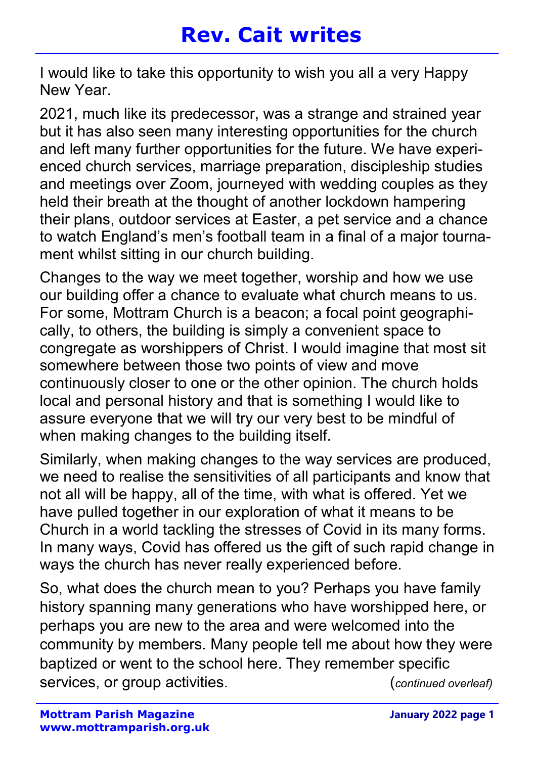I would like to take this opportunity to wish you all a very Happy New Year.

2021, much like its predecessor, was a strange and strained year but it has also seen many interesting opportunities for the church and left many further opportunities for the future. We have experienced church services, marriage preparation, discipleship studies and meetings over Zoom, journeyed with wedding couples as they held their breath at the thought of another lockdown hampering their plans, outdoor services at Easter, a pet service and a chance to watch England's men's football team in a final of a major tournament whilst sitting in our church building.

Changes to the way we meet together, worship and how we use our building offer a chance to evaluate what church means to us. For some, Mottram Church is a beacon; a focal point geographically, to others, the building is simply a convenient space to congregate as worshippers of Christ. I would imagine that most sit somewhere between those two points of view and move continuously closer to one or the other opinion. The church holds local and personal history and that is something I would like to assure everyone that we will try our very best to be mindful of when making changes to the building itself.

Similarly, when making changes to the way services are produced, we need to realise the sensitivities of all participants and know that not all will be happy, all of the time, with what is offered. Yet we have pulled together in our exploration of what it means to be Church in a world tackling the stresses of Covid in its many forms. In many ways, Covid has offered us the gift of such rapid change in ways the church has never really experienced before.

So, what does the church mean to you? Perhaps you have family history spanning many generations who have worshipped here, or perhaps you are new to the area and were welcomed into the community by members. Many people tell me about how they were baptized or went to the school here. They remember specific services, or group activities.  $(continued \ over leaf)$